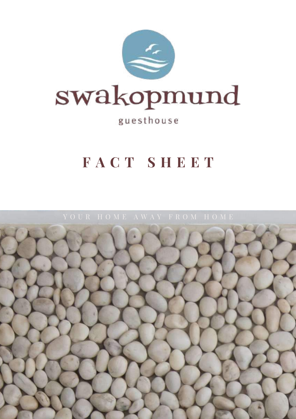

## guesthouse

## **F A C T S H E E T**

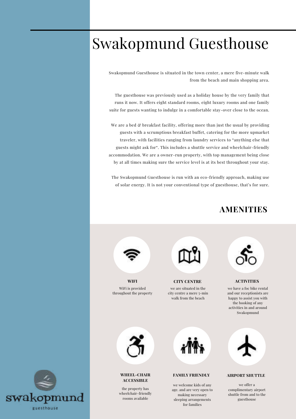## Swakopmund Guesthouse

Swakopmund Guesthouse is situated in the town center, a mere five-minute walk from the beach and main shopping area.

The guesthouse was previously used as a holiday house by the very family that runs it now. It offers eight standard rooms, eight luxury rooms and one family suite for guests wanting to indulge in a comfortable stay-over close to the ocean.

We are a bed & breakfast facility, offering more than just the usual by providing guests with a scrumptious breakfast buffet, catering for the more upmarket traveler, with facilities ranging from laundry services to "anything else that guests might ask for". This includes a shuttle service and wheelchair-friendly accommodation. We are a owner-run property, with top management being close by at all times making sure the service level is at its best throughout your stay.

The Swakopmund Guesthouse is run with an eco-friendly approach, making use of solar energy. It is not your conventional type of guesthouse, that's for sure.

### **AMENITIES**



WiFi is provided throughout the property



we are situated in the city centre a mere 5-min walk from the beach



we have a foc bike rental and our receptionists are happy to assist you with the booking of any activities in and around Swakopmund **WIFI CITY CENTRE ACTIVITIES**



#### **WHEEL-CHAIR ACCESSIBLE**

the property has wheelchair-friendly rooms available



#### **FAMILY FRIENDLY AIRPORT SHUTTLE**

we welcome kids of any age. and are very open to making necessary sleeping arrangements for families



we offer a complimentary airport shuttle from and to the guesthouse

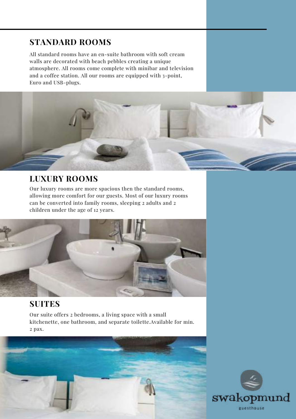## **STANDARD ROOMS**

All standard rooms have an en-suite bathroom with soft cream walls are decorated with beach pebbles creating a unique atmosphere. All rooms come complete with minibar and television and a coffee station. All our rooms are equipped with 3-point, Euro and USB-plugs.

## **LUXURY ROOMS**

Our luxury rooms are more spacious then the standard rooms, allowing more comfort for our guests. Most of our luxury rooms can be converted into family rooms, sleeping 2 adults and 2 children under the age of 12 years.



## **SUITES**

Our suite offers 2 bedrooms, a living space with a small kitchenette, one bathroom, and separate toilette.Available for min. 2 pax.



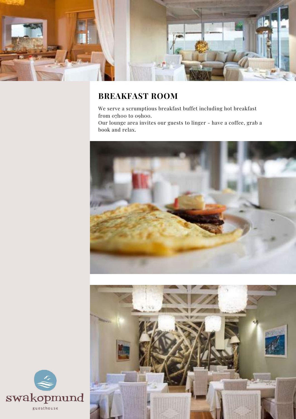

## **BREAKFAST ROOM**

We serve a scrumptious breakfast buffet including hot breakfast from 07h00 to 09h00.

Our lounge area invites our guests to linger - have a coffee, grab a book and relax.





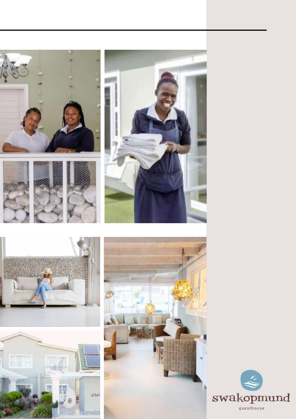







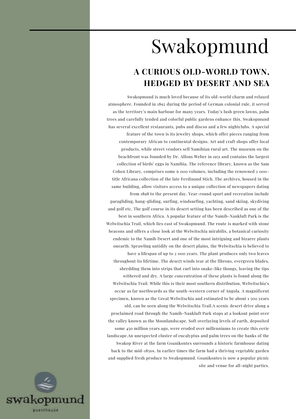# Swakopmund

## **A CURIOUS OLD-WORLD TOWN, HEDGED BY DESERT AND SEA**

Swakopmund is much loved because of its old-world charm and relaxed atmosphere. Founded in 1892 during the period of German colonial rule, it served as the territory's main harbour for many years. Today's lush green lawns, palm trees and carefully tended and colorful public gardens enhance this. Swakopmund has several excellent restaurants, pubs and discos and a few nightclubs. A special feature of the town is its jewelry shops, which offer pieces ranging from contemporary African to continental designs. Art and craft shops offer local products, while street vendors sell Namibian rural art. The museum on the beachfront was founded by Dr. Alfons Weber in 1951 and contains the largest collection of birds' eggs in Namibia. The reference library, known as the Sam Cohen Library, comprises some 6 000 volumes, including the renowned 2 000 title Africana collection of the late Ferdinand Stich. The archives, housed in the same building, allow visitors access to a unique collection of newspapers dating from 1898 to the present day. Year-round sport and recreation include paragliding, hang-gliding, surfing, windsurfing, yachting, sand skiing, skydiving and golf etc. The golf course in its desert setting has been described as one of the best in southern Africa. A popular feature of the Namib-Naukluft Park is the Welwitschia Trail, which lies east of Swakopmund. The route is marked with stone beacons and offers a close look at the Welwitschia mirabilis, a botanical curiosity endemic to the Namib Desert and one of the most intriguing and bizarre plants onearth. Sprawling untidily on the desert plains, the Welwitschia is believed to have a lifespan of up to 2 000 years. The plant produces only two leaves throughout its lifetime. The desert winds tear at the fibrous, evergreen blades, shredding them into strips that curl into snake-like thongs, leaving the tips withered and dry. A large concentration of these plants is found along the Welwitschia Trail. While this is their most southern distribution, Welwitschia's occur as far northwards as the south-western corner of Angola. A magnificent specimen, known as the Great Welwitschia and estimated to be about 1 500 years old, can be seen along the Welwitschia Trail.A scenic desert drive along a proclaimed road through the Namib-Naukluft Park stops at a lookout point over the valley known as the Moonlandscape. Soft overlaying levels of earth, deposited some 450 million years ago, were eroded over millenniums to create this eerie landscape.An unexpected cluster of eucalyptus and palm trees on the banks of the Swakop River at the farm Goanikontes surrounds a historic farmhouse dating back to the mid-1850s. In earlier times the farm had a thriving vegetable garden and supplied fresh produce to Swakopmund. Goanikontes is now a popular picnic site and venue for all-night parties.

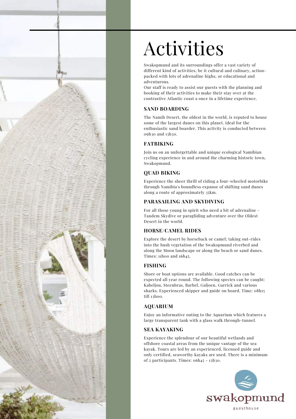

# Activities

Swakopmund and its surroundings offer a vast variety of different kind of activities, be it cultural and culinary, actionpacked with lots of adrenaline highs, or educational and adventurous.

Our staff is ready to assist our guests with the planning and booking of their activities to make their stay over at the contrastive Atlantic coast a once in a lifetime experience.

#### **SAND BOARDING**

The Namib Desert, the oldest in the world, is reputed to house some of the largest dunes on this planet. ideal for the enthusiastic sand boarder. This activity is conducted between 09h30 and 13h30.

#### **FATBIKING**

Join us on an unforgettable and unique ecological Namibian cycling experience in and around the charming historic town, Swakopmund.

#### **QUAD BIKING**

Experience the sheer thrill of riding a four-wheeled motorbike through Namibia's boundless expanse of shifting sand dunes along a route of approximately 35km.

#### **PARASAILING AND SKYDIVING**

For all those young in spirit who need a bit of adrenaline - Tandem Skydive or paragliding adventure over the Oldest Desert in the world.

#### **HORSE/CAMEL RIDES**

Explore the desert by horseback or camel; taking out-rides into the bush vegetation of the Swakopmund riverbed and along the Moon landscape or along the beach or sand dunes. Times: 11h00 and 16h45.

#### **FISHING**

Shore or boat options are available. Good catches can be expected all year round. The following species can be caught: Kabeljou, Steenbras, Barbel, Galjoen, Garrick and various sharks. Experienced skipper and guide on board. Time: 08h15 till 13h00.

#### **AQUARIUM**

Enjoy an informative outing to the Aquarium which features a large transparent tank with a glass walk through-tunnel.

#### **SEA KAYAKING**

Experience the splendour of our beautiful wetlands and offshore coastal areas from the unique vantage of the sea kayak. Tours are led by an experienced, licensed guide and only certified, seaworthy kayaks are used. There is a minimum of 2 participants. Times: 06h45 - 13h30.

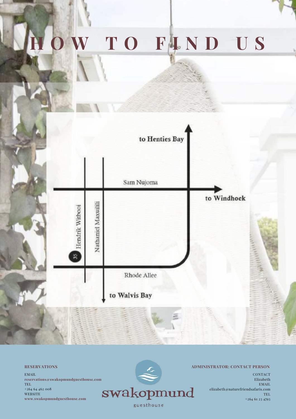# **H O W T O F I N D U S**



**RESERVATIONS**

EMAIL **reservations@swakopmundguesthouse.com** TEL +264 64 462 008 **WEBSITE www.swakopmundguesthouse.com**



#### **ADMINISTRATOR: CONTACT PERSON**

CONTACT Elizabeth EMAIL elizabeth@naturefriendsafaris.com TEL +264 61 23 4793